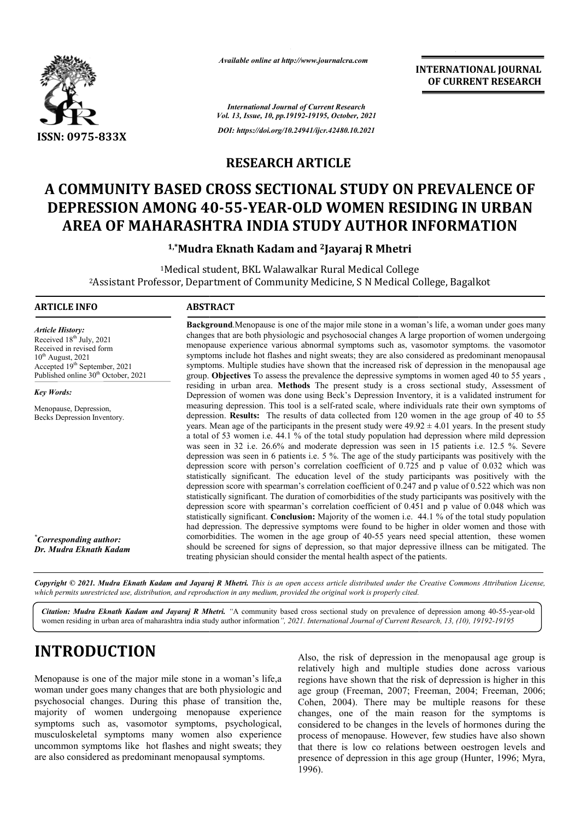

*Available online at http://www.journalcra.com*

**INTERNATIONAL JOURNAL OF CURRENT RESEARCH**

*International Journal of Current Research Vol. 13, Issue, 10, pp.19192-19195, October, 2021 DOI: https://doi.org/10.24941/ijcr.42480.10.2021*

### **RESEARCH ARTICLE**

# A COMMUNITY BASED CROSS SECTIONAL STUDY ON PREVALENCE OF DEPRESSION AMONG 40-55-YEAR-OLD WOMEN RESIDING IN URBAN<br>AREA OF MAHARASHTRA INDIA STUDY AUTHOR INFORMATION **DEPRESSION AMONG 40 40-55-YEAR-OLD WOMEN RESIDING IN URBAN AREA OF MAHARASHTRA INDIA STUDY AUTHOR INFORMATION**

**1,\*Mudra Eknath Kadam and Mudra 2Jayaraj R Mhetri**

1Medical student, BKL Walawalkar Rural Medical College <sup>1</sup>Medical student, BKL Walawalkar Rural Medical College<br>Assistant Professor, Department of Community Medicine, S N Medical College, Bagalkot?

### **ARTICLE INFO ABSTRACT**

*Article History: Article History: Article History:* Received  $18<sup>th</sup>$  July, 2021 Received in revised form Received in revised form Received in revised form  $10^{th}$  August, 2021 Accepted 19<sup>th</sup> September, 2021 Published online 30<sup>th</sup> October, 2021

*Key Words:*

Menopause, Depression, Becks Depression Inventory.

*\* Corresponding author: Dr. Mudra Eknath Kadam* changes that are both physiologic and psychosocial changes A large proportion of women undergoing menopause experience various abnormal symptoms such as, vasomotor symptoms. the vasomotor symptoms include hot flashes and night sweats; they are also considered as predominant menopausal symptoms. Multiple studies have shown that the increased risk of depression in the menopausal age group. **Objectives** To assess the prevalence the depressive symptoms in women aged 40 to 55 years , residing in urban area. **Methods** The present study is a cross sectional study, Assessment of Depression of women was done using Beck's Depression Inventory, it is a validated instrument for measuring depression. This tool is a self-rated scale, where individuals rate their own symptoms of depression. **Results:** The results of data collected from 120 women in the age group of 40 to 55 measuring depression. This tool is a self-rated scale, where individuals rate their own symptoms of depression. **Results:** The results of data collected from 120 women in the age group of 40 to 55 years. Mean age of the p a total of 53 women i.e. 44.1 % of the total study population had depression where mild depression was seen in 32 i.e. 26.6% and moderate depression was seen in 15 patients i.e. 12.5 %. Severe depression was seen in 6 patients i.e.  $5\%$ . The age of the study participants was positively with the depression score with person's correlation coefficient of  $0.725$  and p value of 0.032 which was statistically significant. The education level of the study pa depression score with spearman's correlation coefficient of 0.247 and p value of 0.522 which was non statistically significant. The duration of comorbidities of the study participants was positively with the depression score with spearman's correlation coefficient of 0.451 and p value of 0.048 which was statistically significant. **Conclusion:** Majority of the women i.e. 44.1 % of the total study population had depression. The depressive symptoms were found to be higher in older women and those with comorbidities comorbidities. The women in the age group of 40-55 years need special attention, these women should be screened for signs of depression, so that major depressive illness can be mitigated. The treating physician should consider the mental health aspect of the patients. participants was positively with the **Background**.Menopause is one of the major mile stone in a woman's life, a woman under goes many changes that are both physiologic and psychosocial changes A large proportion of women undergoing menopause experience variou a total of 53 women i.e. 44.1 % of the total study population had depression where mild depression<br>was seen in 32 i.e. 26.6% and moderate depression was seen in 15 patients i.e. 12.5 %. Severe<br>depression was seen in 6 pati comorbidities. The women in the age group of 40-55 years need special attention, these women<br>should be screened for signs of depression, so that major depressive illness can be mitigated. The<br>treating physician should cons

**Background** .Menopause is one of the major mile stone in a woman's life, a woman under goes many

Copyright © 2021. Mudra Eknath Kadam and Jayaraj R Mhetri. This is an open access article distributed under the Creative Commons Attribution License, which permits unrestricted use, distribution, and reproduction in any medium, provided the original work is properly cited.

Citation: Mudra Eknath Kadam and Jayaraj R Mhetri. "A community based cross sectional study on prevalence of depression among 40-55-year-old women residing in urban area of maharashtra india study author information *", 2021. International Journal of Current Research, 13, (10), 19192-19195*

# **INTRODUCTION**

Menopause is one of the major mile stone in a woman's life,a woman under goes many changes that are both physiologic and psychosocial changes. During this phase of transition the, majority of women undergoing menopause experience symptoms such as, vasomotor symptoms, psychological, musculoskeletal symptoms many women also experience uncommon symptoms like hot flashes and night sweats; they are also considered as predominant menopausal symptoms.

Also, the risk of depression in the menopausal age group is relatively high and multiple studies done across various regions have shown that the risk of depression is higher in this age group (Freeman, 2007; Freeman, 2004; Freeman, 2006; Cohen, 2004). There may be multiple reasons for these changes, one of the main reason for the symptoms is Cohen, 2004). There may be multiple reasons for these changes, one of the main reason for the symptoms is considered to be changes in the levels of hormones during the process of menopause. However, few studies have also shown that there is low co relations between oestrogen levels and presence of depression in this age group (Hunter, 1996; Myra, 1996). the risk of depression in the menopausal age group is<br>vely high and multiple studies done across various<br>ns have shown that the risk of depression is higher in this<br>group (Freeman, 2007; Freeman, 2004; Freeman, 2006; process of menopause. However, few studies have also shown<br>that there is low co relations between oestrogen levels and<br>presence of depression in this age group (Hunter, 1996; Myra,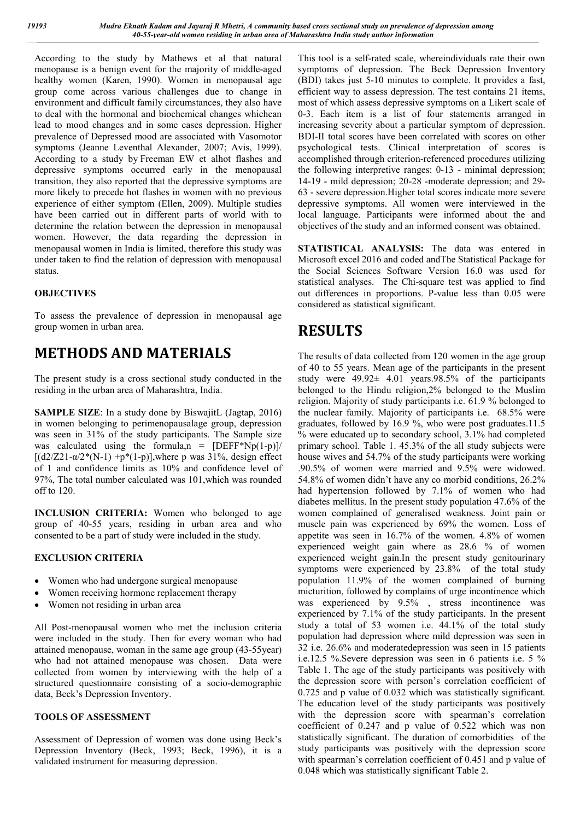According to the study by Mathews et al that natural menopause is a benign event for the majority of middle-aged healthy women (Karen, 1990). Women in menopausal age group come across various challenges due to change in environment and difficult family circumstances, they also have to deal with the hormonal and biochemical changes whichcan lead to mood changes and in some cases depression. Higher prevalence of Depressed mood are associated with Vasomotor symptoms (Jeanne Leventhal Alexander, 2007; Avis, 1999). According to a study by Freeman EW et alhot flashes and depressive symptoms occurred early in the menopausal transition, they also reported that the depressive symptoms are more likely to precede hot flashes in women with no previous experience of either symptom (Ellen, 2009). Multiple studies have been carried out in different parts of world with to determine the relation between the depression in menopausal women. However, the data regarding the depression in menopausal women in India is limited, therefore this study was under taken to find the relation of depression with menopausal status.

#### **OBJECTIVES**

To assess the prevalence of depression in menopausal age group women in urban area.

## **METHODS AND MATERIALS**

The present study is a cross sectional study conducted in the residing in the urban area of Maharashtra, India.

**SAMPLE SIZE**: In a study done by BiswajitL (Jagtap, 2016) in women belonging to perimenopausalage group, depression was seen in 31% of the study participants. The Sample size was calculated using the formula,  $n = [DEFF^*Np(1-p)]/$  $[(d2/Z21 - \alpha/2*(N-1) + p*(1-p)]$ , where p was 31%, design effect of 1 and confidence limits as 10% and confidence level of 97%, The total number calculated was 101,which was rounded off to 120.

**INCLUSION CRITERIA:** Women who belonged to age group of 40-55 years, residing in urban area and who consented to be a part of study were included in the study.

#### **EXCLUSION CRITERIA**

- Women who had undergone surgical menopause
- Women receiving hormone replacement therapy
- Women not residing in urban area

All Post-menopausal women who met the inclusion criteria were included in the study. Then for every woman who had attained menopause, woman in the same age group (43-55year) who had not attained menopause was chosen. Data were collected from women by interviewing with the help of a structured questionnaire consisting of a socio-demographic data, Beck's Depression Inventory.

#### **TOOLS OF ASSESSMENT**

Assessment of Depression of women was done using Beck's Depression Inventory (Beck, 1993; Beck, 1996), it is a validated instrument for measuring depression.

This tool is a self-rated scale, whereindividuals rate their own symptoms of depression. The Beck Depression Inventory (BDI) takes just 5-10 minutes to complete. It provides a fast, efficient way to assess depression. The test contains 21 items, most of which assess depressive symptoms on a Likert scale of 0-3. Each item is a list of four statements arranged in increasing severity about a particular symptom of depression. BDI-II total scores have been correlated with scores on other psychological tests. Clinical interpretation of scores is accomplished through criterion-referenced procedures utilizing the following interpretive ranges: 0-13 - minimal depression; 14-19 - mild depression; 20-28 -moderate depression; and 29- 63 - severe depression.Higher total scores indicate more severe depressive symptoms. All women were interviewed in the local language. Participants were informed about the and objectives of the study and an informed consent was obtained.

**STATISTICAL ANALYSIS:** The data was entered in Microsoft excel 2016 and coded andThe Statistical Package for the Social Sciences Software Version 16.0 was used for statistical analyses. The Chi-square test was applied to find out differences in proportions. P-value less than 0.05 were considered as statistical significant.

# **RESULTS**

The results of data collected from 120 women in the age group of 40 to 55 years. Mean age of the participants in the present study were  $49.92 \pm 4.01$  years. 98.5% of the participants belonged to the Hindu religion,2% belonged to the Muslim religion. Majority of study participants i.e. 61.9 % belonged to the nuclear family. Majority of participants i.e. 68.5% were graduates, followed by 16.9 %, who were post graduates.11.5 % were educated up to secondary school, 3.1% had completed primary school. Table 1. 45.3% of the all study subjects were house wives and 54.7% of the study participants were working .90.5% of women were married and 9.5% were widowed. 54.8% of women didn't have any co morbid conditions, 26.2% had hypertension followed by 7.1% of women who had diabetes mellitus. In the present study population 47.6% of the women complained of generalised weakness. Joint pain or muscle pain was experienced by 69% the women. Loss of appetite was seen in 16.7% of the women. 4.8% of women experienced weight gain where as 28.6 % of women experienced weight gain.In the present study genitourinary symptoms were experienced by 23.8% of the total study population 11.9% of the women complained of burning micturition, followed by complains of urge incontinence which was experienced by 9.5% , stress incontinence was experienced by 7.1% of the study participants. In the present study a total of 53 women i.e. 44.1% of the total study population had depression where mild depression was seen in 32 i.e. 26.6% and moderatedepression was seen in 15 patients i.e.12.5 %.Severe depression was seen in 6 patients i.e. 5 % Table 1. The age of the study participants was positively with the depression score with person's correlation coefficient of 0.725 and p value of 0.032 which was statistically significant. The education level of the study participants was positively with the depression score with spearman's correlation coefficient of 0.247 and p value of 0.522 which was non statistically significant. The duration of comorbidities of the study participants was positively with the depression score with spearman's correlation coefficient of 0.451 and p value of 0.048 which was statistically significant Table 2.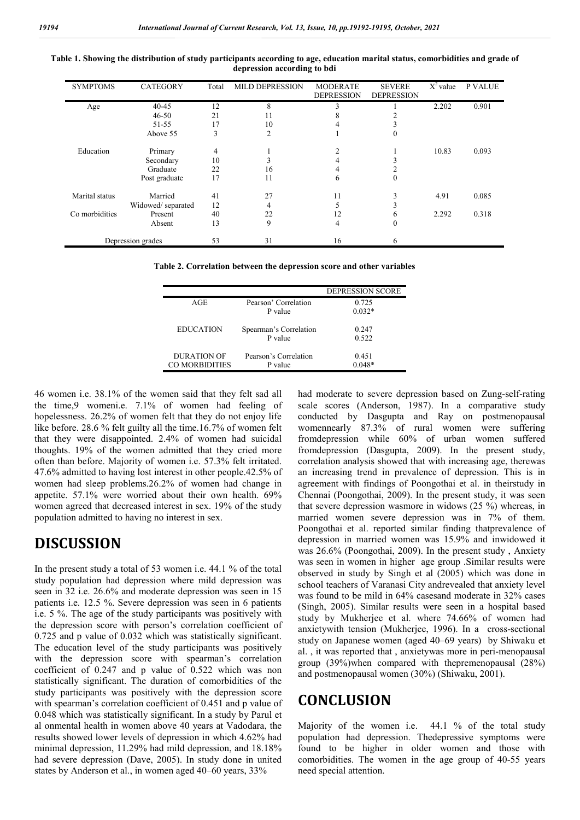| <b>SYMPTOMS</b>   | <b>CATEGORY</b>   | Total | <b>MILD DEPRESSION</b> | <b>MODERATE</b><br><b>DEPRESSION</b> | <b>SEVERE</b><br><b>DEPRESSION</b> | $\overline{X}^2$ value | <b>P VALUE</b> |
|-------------------|-------------------|-------|------------------------|--------------------------------------|------------------------------------|------------------------|----------------|
| Age               | $40 - 45$         | 12    | 8                      | $\mathbf{3}$                         |                                    | 2.202                  | 0.901          |
|                   | $46 - 50$         | 21    | 11                     | 8                                    |                                    |                        |                |
|                   | $51 - 55$         | 17    | 10                     |                                      |                                    |                        |                |
|                   | Above 55          | 3     | 2                      |                                      | 0                                  |                        |                |
| Education         | Primary           | 4     |                        |                                      |                                    | 10.83                  | 0.093          |
|                   | Secondary         | 10    |                        |                                      |                                    |                        |                |
|                   | Graduate          | 22    | 16                     |                                      |                                    |                        |                |
|                   | Post graduate     | 17    | 11                     | 6                                    | $\theta$                           |                        |                |
| Marital status    | Married           | 41    | 27                     | 11                                   |                                    | 4.91                   | 0.085          |
|                   | Widowed/separated | 12    | 4                      |                                      | 3                                  |                        |                |
| Co morbidities    | Present           | 40    | 22                     | 12                                   | 6                                  | 2.292                  | 0.318          |
|                   | Absent            | 13    | 9                      | 4                                    | $\Omega$                           |                        |                |
| Depression grades |                   | 53    | 31                     | 16                                   | 6                                  |                        |                |

**Table 1. Showing the distribution of study participants according to age, education marital status, comorbidities and grade of depression according to bdi**

**Table 2. Correlation between the depression score and other variables**

|                  |                        | <b>DEPRESSION SCORE</b> |
|------------------|------------------------|-------------------------|
| AGE              | Pearson' Correlation   | 0.725                   |
|                  | P value                | $0.032*$                |
| <b>EDUCATION</b> | Spearman's Correlation | 0.247                   |
|                  | P value                | 0.522                   |
| DURATION OF      | Pearson's Correlation  | 0.451                   |
| CO MORBIDITIES   | P value                | $(148*)$                |

46 women i.e. 38.1% of the women said that they felt sad all the time,9 womeni.e. 7.1% of women had feeling of hopelessness. 26.2% of women felt that they do not enjoy life like before. 28.6 % felt guilty all the time.16.7% of women felt that they were disappointed. 2.4% of women had suicidal thoughts. 19% of the women admitted that they cried more often than before. Majority of women i.e. 57.3% felt irritated. 47.6% admitted to having lost interest in other people.42.5% of women had sleep problems.26.2% of women had change in appetite. 57.1% were worried about their own health. 69% women agreed that decreased interest in sex. 19% of the study population admitted to having no interest in sex.

### **DISCUSSION**

In the present study a total of 53 women i.e. 44.1 % of the total study population had depression where mild depression was seen in 32 i.e. 26.6% and moderate depression was seen in 15 patients i.e. 12.5 %. Severe depression was seen in 6 patients i.e. 5 %. The age of the study participants was positively with the depression score with person's correlation coefficient of 0.725 and p value of 0.032 which was statistically significant. The education level of the study participants was positively with the depression score with spearman's correlation coefficient of 0.247 and p value of 0.522 which was non statistically significant. The duration of comorbidities of the study participants was positively with the depression score with spearman's correlation coefficient of 0.451 and p value of 0.048 which was statistically significant. In a study by Parul et al onmental health in women above 40 years at Vadodara, the results showed lower levels of depression in which 4.62% had minimal depression, 11.29% had mild depression, and 18.18% had severe depression (Dave, 2005). In study done in united states by Anderson et al., in women aged 40–60 years, 33%

had moderate to severe depression based on Zung-self-rating scale scores (Anderson, 1987). In a comparative study conducted by Dasgupta and Ray on postmenopausal womennearly 87.3% of rural women were suffering fromdepression while 60% of urban women suffered fromdepression (Dasgupta, 2009). In the present study, correlation analysis showed that with increasing age, therewas an increasing trend in prevalence of depression. This is in agreement with findings of Poongothai et al. in theirstudy in Chennai (Poongothai, 2009). In the present study, it was seen that severe depression wasmore in widows (25 %) whereas, in married women severe depression was in 7% of them. Poongothai et al. reported similar finding thatprevalence of depression in married women was 15.9% and inwidowed it was 26.6% (Poongothai, 2009). In the present study , Anxiety was seen in women in higher age group .Similar results were observed in study by Singh et al (2005) which was done in school teachers of Varanasi City andrevealed that anxiety level was found to be mild in 64% casesand moderate in 32% cases (Singh, 2005). Similar results were seen in a hospital based study by Mukherjee et al. where 74.66% of women had anxietywith tension (Mukherjee, 1996). In a cross-sectional study on Japanese women (aged 40–69 years) by Shiwaku et al. , it was reported that , anxietywas more in peri-menopausal group (39%)when compared with thepremenopausal (28%) and postmenopausal women (30%) (Shiwaku, 2001).

### **CONCLUSION**

Majority of the women i.e. 44.1 % of the total study population had depression. Thedepressive symptoms were found to be higher in older women and those with comorbidities. The women in the age group of 40-55 years need special attention.